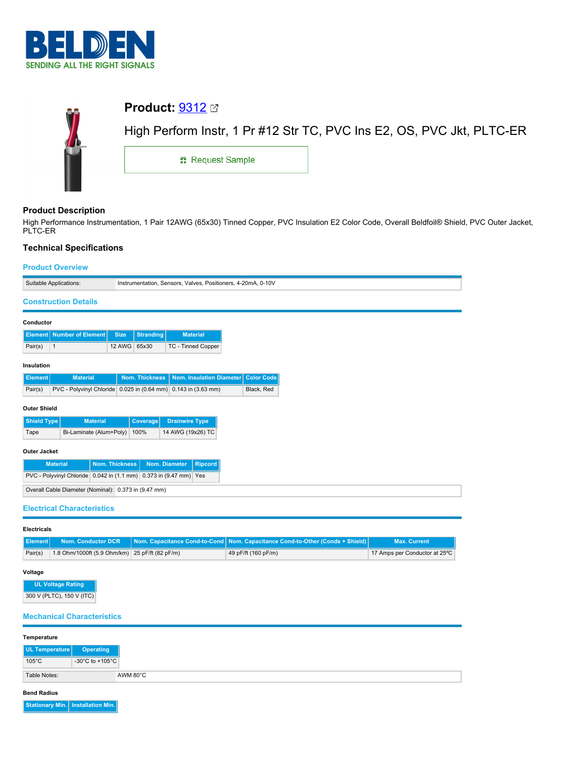



# **Product Description**

High Performance Instrumentation, 1 Pair 12AWG (65x30) Tinned Copper, PVC Insulation E2 Color Code, Overall Beldfoil® Shield, PVC Outer Jacket, PLTC-ER

# **Technical Specifications**

### **Product Overview**

| Suitable Applications:                                                                  |              |                  | Instrumentation, Sensors, Valves, Positioners, 4-20mA, 0-10V |                   |
|-----------------------------------------------------------------------------------------|--------------|------------------|--------------------------------------------------------------|-------------------|
| <b>Construction Details</b>                                                             |              |                  |                                                              |                   |
| Conductor                                                                               |              |                  |                                                              |                   |
| <b>Number of Element</b><br><b>Element</b>                                              | <b>Size</b>  | <b>Stranding</b> | <b>Material</b>                                              |                   |
| Pair(s)<br>$\mathbf{1}$                                                                 | 12 AWG 65x30 |                  | <b>TC - Tinned Copper</b>                                    |                   |
| Insulation                                                                              |              |                  |                                                              |                   |
| <b>Material</b><br><b>Element</b>                                                       |              | Nom. Thickness   | <b>Nom. Insulation Diameter</b>                              | <b>Color Code</b> |
| PVC - Polyvinyl Chloride 0.025 in (0.64 mm) 0.143 in (3.63 mm)<br>Black, Red<br>Pair(s) |              |                  |                                                              |                   |
| <b>Outer Shield</b>                                                                     |              |                  |                                                              |                   |
| Shield Type<br><b>Material</b><br>Coverage<br><b>Drainwire Type</b>                     |              |                  |                                                              |                   |
| 14 AWG (19x26) TC<br>Bi-Laminate (Alum+Poly)<br>100%<br>Tape                            |              |                  |                                                              |                   |
| <b>Outer Jacket</b>                                                                     |              |                  |                                                              |                   |
| <b>Material</b><br><b>Nom. Thickness</b><br>Nom. Diameter<br><b>Ripcord</b>             |              |                  |                                                              |                   |
| PVC - Polyvinyl Chloride 0.042 in (1.1 mm) 0.373 in (9.47 mm) Yes                       |              |                  |                                                              |                   |
| Overall Cable Diameter (Nominal): 0.373 in (9.47 mm)                                    |              |                  |                                                              |                   |
| <b>Electrical Characteristics</b>                                                       |              |                  |                                                              |                   |

### **Electricals**

|         |                                                | <b>Element</b> Nom. Conductor DCR Nom. Capacitance Cond-to-Cond Nom. Capacitance Cond-to-Other (Conds + Shield) | <b>Max. Current</b>           |
|---------|------------------------------------------------|-----------------------------------------------------------------------------------------------------------------|-------------------------------|
| Pair(s) | 1.8 Ohm/1000ft (5.9 Ohm/km) 25 pF/ft (82 pF/m) | 49 pF/ft (160 pF/m)                                                                                             | 17 Amps per Conductor at 25°C |

## **Voltage**

**UL Voltage Rating** 300 V (PLTC), 150 V (ITC)

## **Mechanical Characteristics**

| Temperature     |                 |
|-----------------|-----------------|
| UL Temperature  | Operating       |
| $105^{\circ}$ C | -30°C to +105°C |
| Table Notes:    | AWM 80°C        |

### **Bend Radius**

**Stationary Min. Installation Min.**